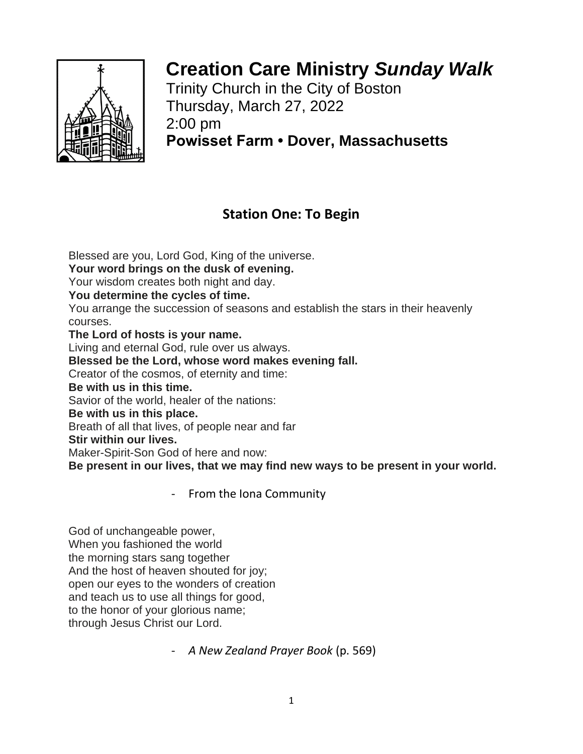

# **Creation Care Ministry** *Sunday Walk*

Trinity Church in the City of Boston Thursday, March 27, 2022 2:00 pm **Powisset Farm • Dover, Massachusetts**

## **Station One: To Begin**

Blessed are you, Lord God, King of the universe. **Your word brings on the dusk of evening.** Your wisdom creates both night and day. **You determine the cycles of time.** You arrange the succession of seasons and establish the stars in their heavenly courses. **The Lord of hosts is your name.** Living and eternal God, rule over us always. **Blessed be the Lord, whose word makes evening fall.** Creator of the cosmos, of eternity and time: **Be with us in this time.** Savior of the world, healer of the nations: **Be with us in this place.** Breath of all that lives, of people near and far **Stir within our lives.** Maker-Spirit-Son God of here and now: **Be present in our lives, that we may find new ways to be present in your world.**

- From the Iona Community

God of unchangeable power, When you fashioned the world the morning stars sang together And the host of heaven shouted for joy; open our eyes to the wonders of creation and teach us to use all things for good, to the honor of your glorious name; through Jesus Christ our Lord.

- *A New Zealand Prayer Book* (p. 569)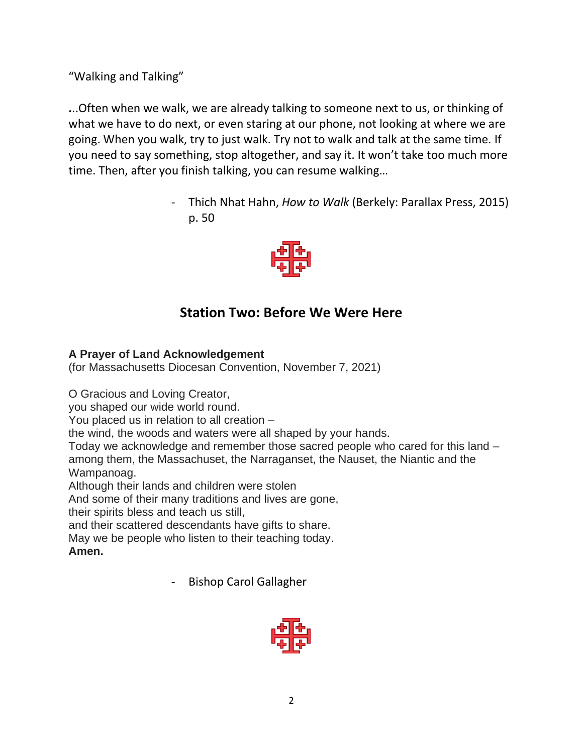"Walking and Talking"

**.**..Often when we walk, we are already talking to someone next to us, or thinking of what we have to do next, or even staring at our phone, not looking at where we are going. When you walk, try to just walk. Try not to walk and talk at the same time. If you need to say something, stop altogether, and say it. It won't take too much more time. Then, after you finish talking, you can resume walking…

> - Thich Nhat Hahn, *How to Walk* (Berkely: Parallax Press, 2015) p. 50



# **Station Two: Before We Were Here**

#### **A Prayer of Land Acknowledgement**

(for Massachusetts Diocesan Convention, November 7, 2021)

O Gracious and Loving Creator,

you shaped our wide world round.

You placed us in relation to all creation –

the wind, the woods and waters were all shaped by your hands.

Today we acknowledge and remember those sacred people who cared for this land – among them, the Massachuset, the Narraganset, the Nauset, the Niantic and the Wampanoag.

Although their lands and children were stolen

And some of their many traditions and lives are gone,

their spirits bless and teach us still,

and their scattered descendants have gifts to share.

May we be people who listen to their teaching today.

**Amen.**

- Bishop Carol Gallagher

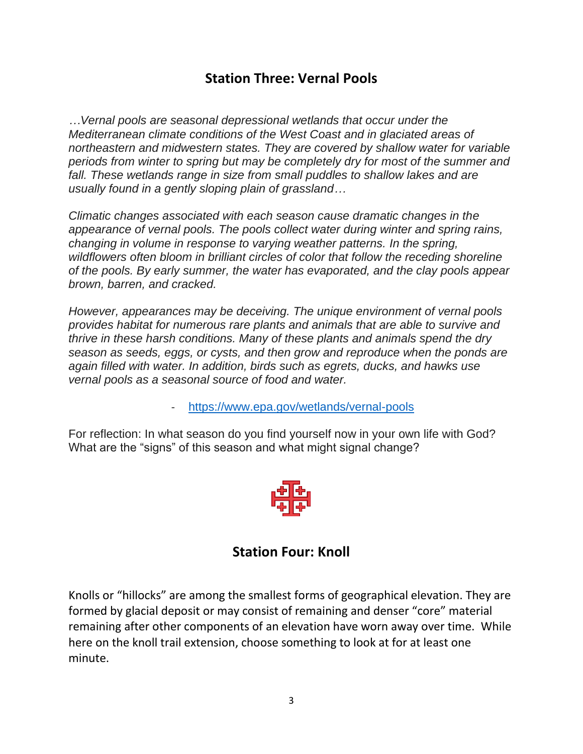### **Station Three: Vernal Pools**

*…Vernal pools are seasonal depressional wetlands that occur under the Mediterranean climate conditions of the West Coast and in glaciated areas of northeastern and midwestern states. They are covered by shallow water for variable periods from winter to spring but may be completely dry for most of the summer and fall. These wetlands range in size from small puddles to shallow lakes and are usually found in a gently sloping plain of grassland…*

*Climatic changes associated with each season cause dramatic changes in the appearance of vernal pools. The pools collect water during winter and spring rains, changing in volume in response to varying weather patterns. In the spring, wildflowers often bloom in brilliant circles of color that follow the receding shoreline of the pools. By early summer, the water has evaporated, and the clay pools appear brown, barren, and cracked.*

*However, appearances may be deceiving. The unique environment of vernal pools provides habitat for numerous rare plants and animals that are able to survive and thrive in these harsh conditions. Many of these plants and animals spend the dry season as seeds, eggs, or cysts, and then grow and reproduce when the ponds are again filled with water. In addition, birds such as egrets, ducks, and hawks use vernal pools as a seasonal source of food and water.*

- <https://www.epa.gov/wetlands/vernal-pools>

For reflection: In what season do you find yourself now in your own life with God? What are the "signs" of this season and what might signal change?



#### **Station Four: Knoll**

Knolls or "hillocks" are among the smallest forms of geographical elevation. They are formed by glacial deposit or may consist of remaining and denser "core" material remaining after other components of an elevation have worn away over time. While here on the knoll trail extension, choos[e some](https://creativecommons.org/licenses/by-sa/3.0/)thing to look at for at least one minute.